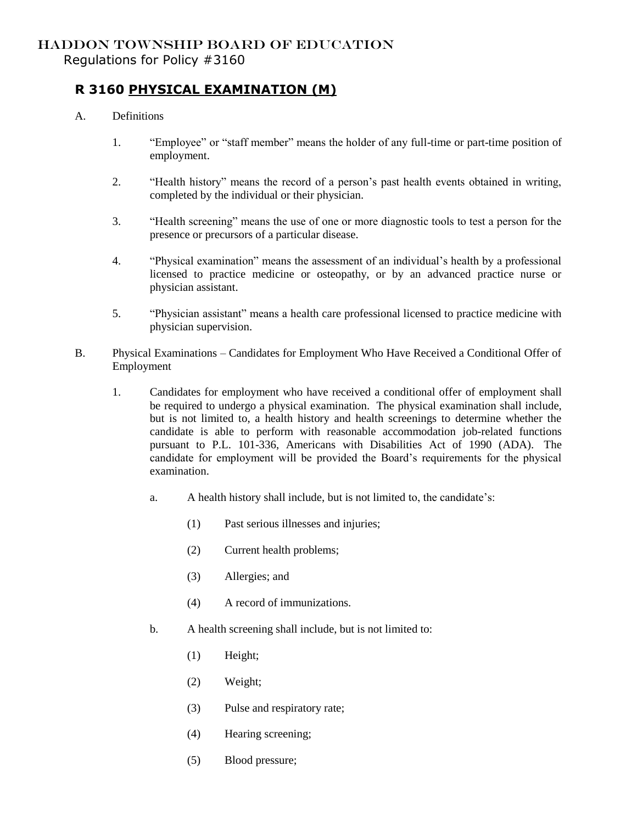## HADDON TOWNSHIP BOARD OF EDUCATION Regulations for Policy #3160

## **R 3160 PHYSICAL EXAMINATION (M)**

- A. Definitions
	- 1. "Employee" or "staff member" means the holder of any full-time or part-time position of employment.
	- 2. "Health history" means the record of a person's past health events obtained in writing, completed by the individual or their physician.
	- 3. "Health screening" means the use of one or more diagnostic tools to test a person for the presence or precursors of a particular disease.
	- 4. "Physical examination" means the assessment of an individual's health by a professional licensed to practice medicine or osteopathy, or by an advanced practice nurse or physician assistant.
	- 5. "Physician assistant" means a health care professional licensed to practice medicine with physician supervision.
- B. Physical Examinations Candidates for Employment Who Have Received a Conditional Offer of Employment
	- 1. Candidates for employment who have received a conditional offer of employment shall be required to undergo a physical examination. The physical examination shall include, but is not limited to, a health history and health screenings to determine whether the candidate is able to perform with reasonable accommodation job-related functions pursuant to P.L. 101-336, Americans with Disabilities Act of 1990 (ADA). The candidate for employment will be provided the Board's requirements for the physical examination.
		- a. A health history shall include, but is not limited to, the candidate's:
			- (1) Past serious illnesses and injuries;
			- (2) Current health problems;
			- (3) Allergies; and
			- (4) A record of immunizations.
		- b. A health screening shall include, but is not limited to:
			- (1) Height;
			- (2) Weight;
			- (3) Pulse and respiratory rate;
			- (4) Hearing screening;
			- (5) Blood pressure;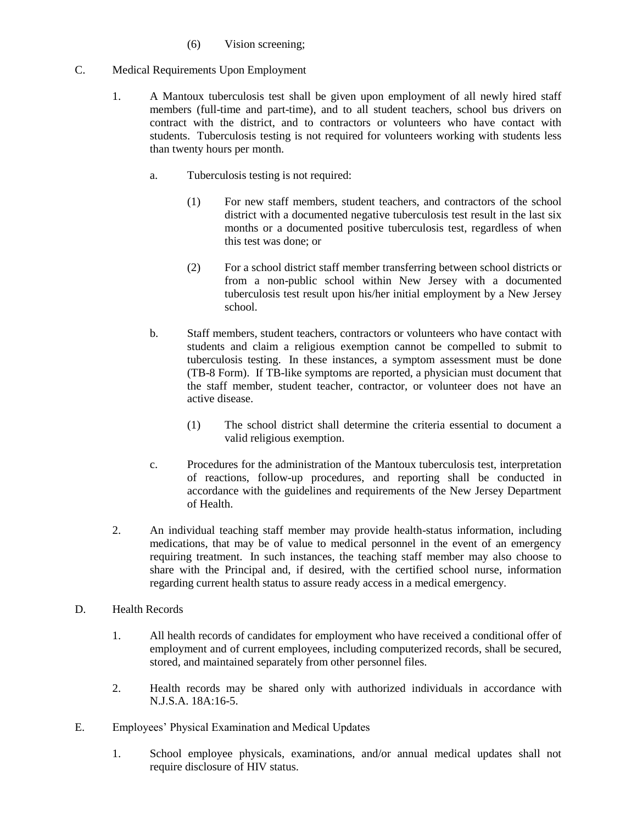- (6) Vision screening;
- C. Medical Requirements Upon Employment
	- 1. A Mantoux tuberculosis test shall be given upon employment of all newly hired staff members (full-time and part-time), and to all student teachers, school bus drivers on contract with the district, and to contractors or volunteers who have contact with students. Tuberculosis testing is not required for volunteers working with students less than twenty hours per month.
		- a. Tuberculosis testing is not required:
			- (1) For new staff members, student teachers, and contractors of the school district with a documented negative tuberculosis test result in the last six months or a documented positive tuberculosis test, regardless of when this test was done; or
			- (2) For a school district staff member transferring between school districts or from a non-public school within New Jersey with a documented tuberculosis test result upon his/her initial employment by a New Jersey school.
		- b. Staff members, student teachers, contractors or volunteers who have contact with students and claim a religious exemption cannot be compelled to submit to tuberculosis testing. In these instances, a symptom assessment must be done (TB-8 Form). If TB-like symptoms are reported, a physician must document that the staff member, student teacher, contractor, or volunteer does not have an active disease.
			- (1) The school district shall determine the criteria essential to document a valid religious exemption.
		- c. Procedures for the administration of the Mantoux tuberculosis test, interpretation of reactions, follow-up procedures, and reporting shall be conducted in accordance with the guidelines and requirements of the New Jersey Department of Health.
	- 2. An individual teaching staff member may provide health-status information, including medications, that may be of value to medical personnel in the event of an emergency requiring treatment. In such instances, the teaching staff member may also choose to share with the Principal and, if desired, with the certified school nurse, information regarding current health status to assure ready access in a medical emergency.
- D. Health Records
	- 1. All health records of candidates for employment who have received a conditional offer of employment and of current employees, including computerized records, shall be secured, stored, and maintained separately from other personnel files.
	- 2. Health records may be shared only with authorized individuals in accordance with N.J.S.A. 18A:16-5.
- E. Employees' Physical Examination and Medical Updates
	- 1. School employee physicals, examinations, and/or annual medical updates shall not require disclosure of HIV status.